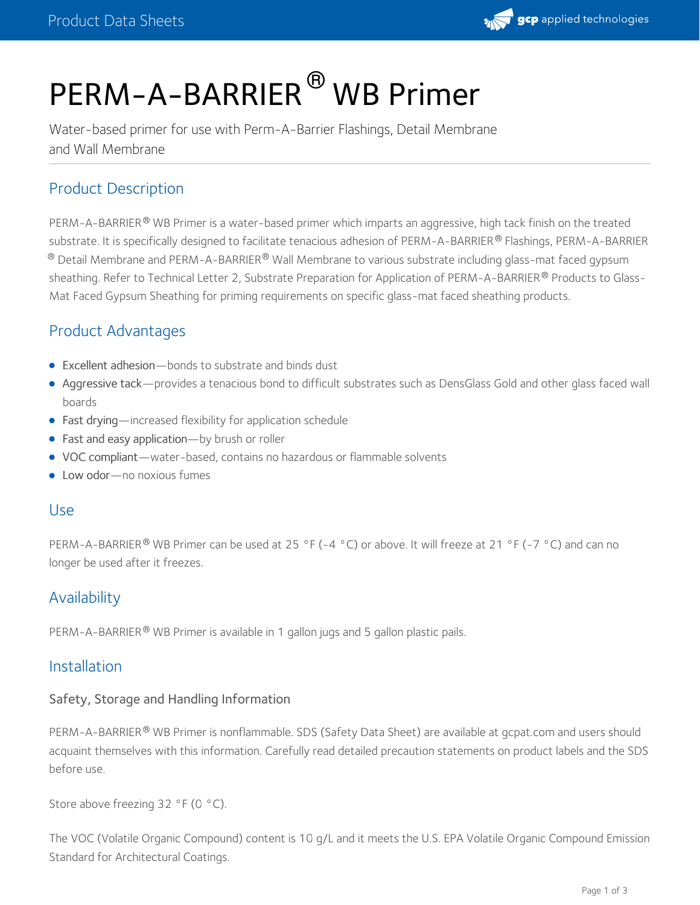

# PERM-A-BARRIER<sup>®</sup> WB Primer

Water-based primer for use with Perm-A-Barrier Flashings, Detail Membrane and Wall Membrane

# Product Description

PERM-A-BARRIER® WB Primer is a water-based primer which imparts an aggressive, high tack finish on the treated substrate. It is specifically designed to facilitate tenacious adhesion of PERM-A-BARRIER® Flashings, PERM-A-BARRIER  $^\circledR$  Detail Membrane and PERM-A-BARRIER $^\circledR$  Wall Membrane to various substrate including glass-mat faced gypsum sheathing. Refer to Technical Letter 2, Substrate Preparation for Application of PERM-A-BARRIER® Products to Glass-Mat Faced Gypsum Sheathing for priming requirements on specific glass-mat faced sheathing products.

# Product Advantages

- Excellent adhesion—bonds to substrate and binds dust
- Aggressive tack—provides a tenacious bond to difficult substrates such as DensGlass Gold and other glass faced wall boards
- Fast drying—increased flexibility for application schedule
- Fast and easy application—by brush or roller
- VOC compliant—water-based, contains no hazardous or flammable solvents
- Low odor-no noxious fumes

#### Use

PERM-A-BARRIER® WB Primer can be used at 25 °F (-4 °C) or above. It will freeze at 21 °F (-7 °C) and can no longer be used after it freezes.

# **Availability**

PERM-A-BARRIER® WB Primer is available in 1 gallon jugs and 5 gallon plastic pails.

#### Installation

#### Safety, Storage and Handling Information

PERM-A-BARRIER® WB Primer is nonflammable. SDS (Safety Data Sheet) are available at gcpat.com and users should acquaint themselves with this information. Carefully read detailed precaution statements on product labels and the SDS before use.

Store above freezing 32 °F (0 °C).

The VOC (Volatile Organic Compound) content is 10 g/L and it meets the U.S. EPA Volatile Organic Compound Emission Standard for Architectural Coatings.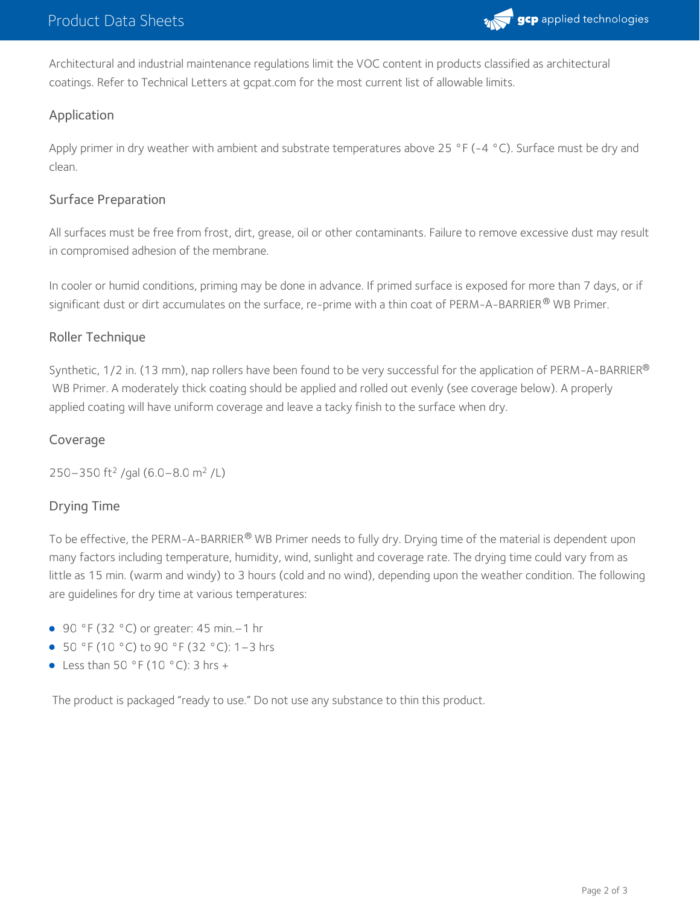

Architectural and industrial maintenance regulations limit the VOC content in products classified as architectural coatings. Refer to Technical Letters at gcpat.com for the most current list of allowable limits.

#### Application

Apply primer in dry weather with ambient and substrate temperatures above 25 °F (-4 °C). Surface must be dry and clean.

#### Surface Preparation

All surfaces must be free from frost, dirt, grease, oil or other contaminants. Failure to remove excessive dust may result in compromised adhesion of the membrane.

In cooler or humid conditions, priming may be done in advance. If primed surface is exposed for more than 7 days, or if significant dust or dirt accumulates on the surface, re-prime with a thin coat of PERM-A-BARRIER $^\circledR$  WB Primer.

#### Roller Technique

Synthetic, 1/2 in. (13 mm), nap rollers have been found to be very successful for the application of PERM-A-BARRIER $^\circ$ WB Primer. A moderately thick coating should be applied and rolled out evenly (see coverage below). A properly applied coating will have uniform coverage and leave a tacky finish to the surface when dry.

#### Coverage

250–350 ft<sup>2</sup> /gal (6.0–8.0 m<sup>2</sup> /L)

#### Drying Time

To be effective, the PERM-A-BARRIER® WB Primer needs to fully dry. Drying time of the material is dependent upon many factors including temperature, humidity, wind, sunlight and coverage rate. The drying time could vary from as little as 15 min. (warm and windy) to 3 hours (cold and no wind), depending upon the weather condition. The following are guidelines for dry time at various temperatures:

- 90 °F (32 °C) or greater: 45 min. 1 hr
- 50 °F (10 °C) to 90 °F (32 °C): 1–3 hrs
- Less than 50 °F (10 °C): 3 hrs +

The product is packaged "ready to use." Do not use any substance to thin this product.